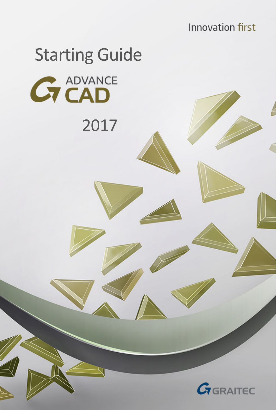**Innovation first** 

# Starting Guide **GT CAD**

2017

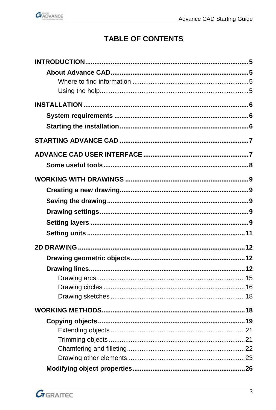

## **TABLE OF CONTENTS**

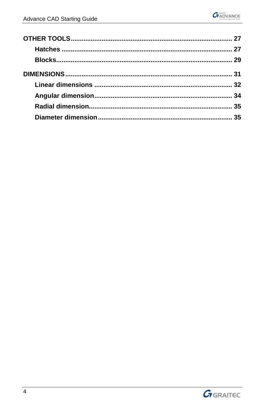

| 35 |
|----|
|    |

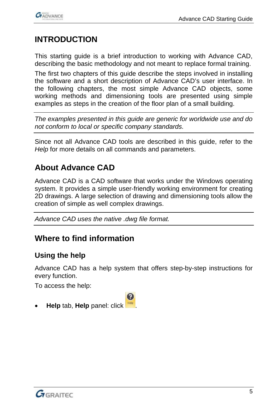

## <span id="page-4-0"></span>**INTRODUCTION**

This starting guide is a brief introduction to working with Advance CAD, describing the basic methodology and not meant to replace formal training.

The first two chapters of this guide describe the steps involved in installing the software and a short description of Advance CAD's user interface. In the following chapters, the most simple Advance CAD objects, some working methods and dimensioning tools are presented using simple examples as steps in the creation of the floor plan of a small building.

*The examples presented in this guide are generic for worldwide use and do not conform to local or specific company standards.*

Since not all Advance CAD tools are described in this guide, refer to the *Help* for more details on all commands and parameters.

## <span id="page-4-1"></span>**About Advance CAD**

Advance CAD is a CAD software that works under the Windows operating system. It provides a simple user-friendly working environment for creating 2D drawings. A large selection of drawing and dimensioning tools allow the creation of simple as well complex drawings.

*Advance CAD uses the native .dwg file format.*

### <span id="page-4-2"></span>**Where to find information**

#### <span id="page-4-3"></span>**Using the help**

Advance CAD has a help system that offers step-by-step instructions for every function.

To access the help:

• **Help** tab, **Help** panel: click .

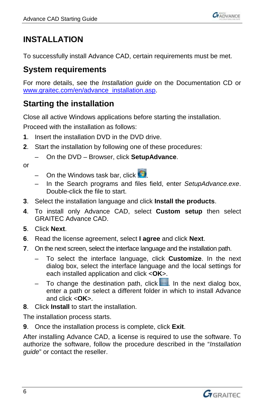

## <span id="page-5-0"></span>**INSTALLATION**

To successfully install Advance CAD, certain requirements must be met.

## <span id="page-5-1"></span>**System requirements**

For more details, see the *Installation guide* on the Documentation CD or [www.graitec.com/en/advance\\_installation.asp.](http://www.graitec.com/en/advance_installation.asp)

# <span id="page-5-2"></span>**Starting the installation**

Close all active Windows applications before starting the installation.

Proceed with the installation as follows:

- **1**. Insert the installation DVD in the DVD drive.
- **2**. Start the installation by following one of these procedures:
	- On the DVD Browser, click **SetupAdvance**.

or

- On the Windows task bar, click  $\bigcirc$
- In the Search programs and files field, enter *SetupAdvance.exe*. Double-click the file to start.
- **3**. Select the installation language and click **Install the products**.
- **4**. To install only Advance CAD, select **Custom setup** then select GRAITEC Advance CAD.
- **5**. Click **Next**.
- **6**. Read the license agreement, select **I agree** and click **Next**.
- **7**. On the next screen, select the interface language and the installation path.
	- To select the interface language, click **Customize**. In the next dialog box, select the interface language and the local settings for each installed application and click <**OK**>.
	- To change the destination path, click  $\| \cdot \|$ . In the next dialog box, enter a path or select a different folder in which to install Advance and click <**OK**>.
- **8**. Click **Install** to start the installation.

The installation process starts.

**9**. Once the installation process is complete, click **Exit**.

After installing Advance CAD, a license is required to use the software. To authorize the software, follow the procedure described in the "*Installation guide*" or contact the reseller.

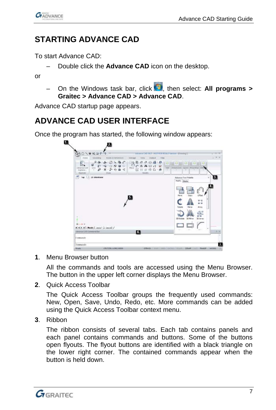

## <span id="page-6-0"></span>**STARTING ADVANCE CAD**

To start Advance CAD:

– Double click the **Advance CAD** icon on the desktop.

or

– On the Windows task bar, click , then select: **All programs > Graitec > Advance CAD > Advance CAD**.

Advance CAD startup page appears.

## <span id="page-6-1"></span>**ADVANCE CAD USER INTERFACE**

Once the program has started, the following window appears:



**1**. Menu Browser button

All the commands and tools are accessed using the Menu Browser. The button in the upper left corner displays the Menu Browser.

**2**. Quick Access Toolbar

The Quick Access Toolbar groups the frequently used commands: New, Open, Save, Undo, Redo, etc. More commands can be added using the Quick Access Toolbar context menu.

**3**. Ribbon

The ribbon consists of several tabs. Each tab contains panels and each panel contains commands and buttons. Some of the buttons open flyouts. The flyout buttons are identified with a black triangle on the lower right corner. The contained commands appear when the button is held down.

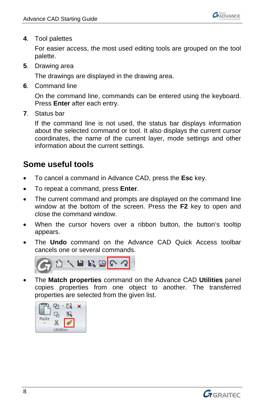

**4**. Tool palettes

For easier access, the most used editing tools are grouped on the tool palette.

**5**. Drawing area

The drawings are displayed in the drawing area.

**6**. Command line

On the command line, commands can be entered using the keyboard. Press **Enter** after each entry.

**7**. Status bar

If the command line is not used, the status bar displays information about the selected command or tool. It also displays the current cursor coordinates, the name of the current layer, mode settings and other information about the current settings.

## <span id="page-7-0"></span>**Some useful tools**

- To cancel a command in Advance CAD, press the **Esc** key.
- To repeat a command, press **Enter**.
- The current command and prompts are displayed on the command line window at the bottom of the screen. Press the **F2** key to open and close the command window.
- When the cursor hovers over a ribbon button, the button's tooltip appears.
- The **Undo** command on the Advance CAD Quick Access toolbar cancels one or several commands.



• The **Match properties** command on the Advance CAD **Utilities** panel copies properties from one object to another. The transferred properties are selected from the given list.



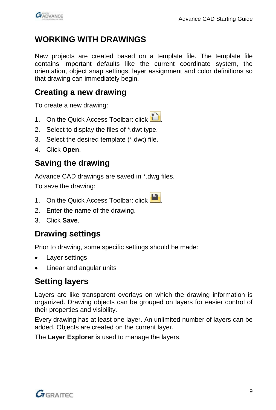

# <span id="page-8-0"></span>**WORKING WITH DRAWINGS**

New projects are created based on a template file. The template file contains important defaults like the current coordinate system, the orientation, object snap settings, layer assignment and color definitions so that drawing can immediately begin.

## <span id="page-8-1"></span>**Creating a new drawing**

To create a new drawing:

- 1. On the Quick Access Toolbar: click
- 2. Select to display the files of \*.dwt type.
- 3. Select the desired template (\*.dwt) file.
- 4. Click **Open**.

## <span id="page-8-2"></span>**Saving the drawing**

Advance CAD drawings are saved in \*.dwg files.

To save the drawing:

- 1. On the Quick Access Toolbar: click
- 2. Enter the name of the drawing.
- 3. Click **Save**.

## <span id="page-8-3"></span>**Drawing settings**

Prior to drawing, some specific settings should be made:

- Layer settings
- Linear and angular units

## <span id="page-8-4"></span>**Setting layers**

Layers are like transparent overlays on which the drawing information is organized. Drawing objects can be grouped on layers for easier control of their properties and visibility.

Every drawing has at least one layer. An unlimited number of layers can be added. Objects are created on the current layer.

The **Layer Explorer** is used to manage the layers.

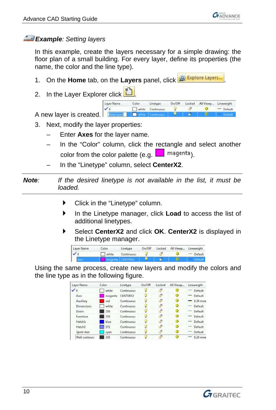

#### *Example: Setting layers*

In this example, create the layers necessary for a simple drawing: the floor plan of a small building. For every layer, define its properties (the name, the color and the line type).

- 1. On the **Home** tab, on the Layers panel, click **19th Explore Layers**,
- 2. In the Layer Explorer click

Layer Name On/Off Locked All Viewp... Lineweight Color Linetype white Continuous **R** ö - Default A new layer is created.

- 3. Next, modify the layer properties:
	- Enter **Axes** for the layer name.
	- In the "Color" column, click the rectangle and select another color from the color palette (e.g.  $\Box$  magenta).
	- In the "Linetype" column, select **CenterX2**.

*Note: If the desired linetype is not available in the list, it must be loaded.*

- Click in the "Linetype" column.
- In the Linetype manager, click **Load** to access the list of additional linetypes.
- Select **CenterX2** and click **OK**. **CenterX2** is displayed in the Linetype manager.

| Layer Name | Color | Linetype   | On/Off | Locked All Viewp Lineweight |         |
|------------|-------|------------|--------|-----------------------------|---------|
|            | white | Continuous |        |                             | Default |
|            |       |            |        |                             |         |

Using the same process, create new layers and modify the colors and the line type as in the following figure.

| Laver Name         | Color   | Linetype        | On/Off | Locked | All Viewp | Lineweight     |
|--------------------|---------|-----------------|--------|--------|-----------|----------------|
| $\checkmark$       | white   | Continuous      |        | ۵P     |           | Default        |
| Axes.              | magenta | <b>CENTERX2</b> |        | d.     |           | Default        |
| Auxiliary          | red     | Continuous      |        | P      | ۰         | $0.30$ mm      |
| Dimensions         | white   | Continuous      |        | нP.    |           | Default        |
| Doors              | 250     | Continuous      |        | æ      |           | Default        |
| Furniture          | 259     | Continuous      |        | d۹     |           | Default        |
| Hatch1             | blue    | Continuous      |        | P      |           | Default<br>$-$ |
| Hatch <sub>2</sub> | 171     | Continuous      |        | ۰P     |           | Default        |
| Spiral stair       | cyan    | Continuous      |        | æ      |           | Default        |
| Wall contours      | 250     | Continuous      |        |        |           | $0.20$ mm      |

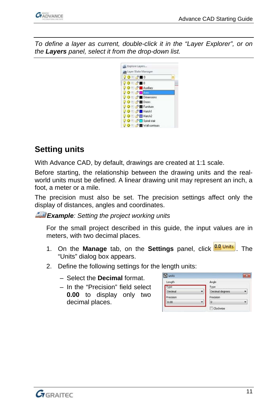

*To define a layer as current, double-click it in the "Layer Explorer", or on the Layers panel, select it from the drop-down list.*



## <span id="page-10-0"></span>**Setting units**

With Advance CAD, by default, drawings are created at 1:1 scale.

Before starting, the relationship between the drawing units and the realworld units must be defined. A linear drawing unit may represent an inch, a foot, a meter or a mile.

The precision must also be set. The precision settings affect only the display of distances, angles and coordinates.

*Example: Setting the project working units*

For the small project described in this guide, the input values are in meters, with two decimal places.

- 1. On the **Manage** tab, on the **Settings** panel, click **RAL Units** . The "Units" dialog box appears.
- 2. Define the following settings for the length units:
	- Select the **Decimal** format.
	- In the "Precision" field select **0.00** to display only two decimal places.

| $\epsilon$ units |                 | $\overline{\mathbf{x}}$ |
|------------------|-----------------|-------------------------|
| Length           | Angle           |                         |
| ype              | Type            |                         |
| Decimal          | Decimal degrees |                         |
| noision          | Precision       |                         |
| 0.00             | o               | ۳                       |
|                  | Clockwise       |                         |

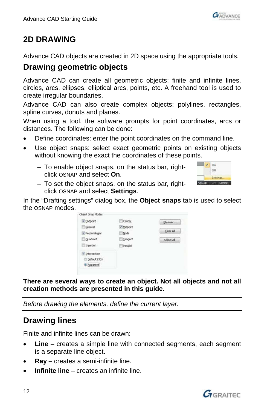

## <span id="page-11-0"></span>**2D DRAWING**

Advance CAD objects are created in 2D space using the appropriate tools.

## <span id="page-11-1"></span>**Drawing geometric objects**

Advance CAD can create all geometric objects: finite and infinite lines, circles, arcs, ellipses, elliptical arcs, points, etc. A freehand tool is used to create irregular boundaries.

Advance CAD can also create complex objects: polylines, rectangles, spline curves, donuts and planes.

When using a tool, the software prompts for point coordinates, arcs or distances. The following can be done:

- Define coordinates: enter the point coordinates on the command line.
- Use object snaps: select exact geometric points on existing objects without knowing the exact the coordinates of these points.
	- To enable object snaps, on the status bar, rightclick OSNAP and select **On**.



– To set the object snaps, on the status bar, rightclick OSNAP and select **Settings**.

In the "Drafting settings" dialog box, the **Object snaps** tab is used to select the OSNAP modes.

| Object Snap Modes      |            |            |
|------------------------|------------|------------|
| V Endpoint             | Center     | Ely-over   |
| Nearest                | / Midpoink |            |
| <b>/ Perpendicular</b> | Node       | Clear All  |
| <b>Cuadrant</b>        | Tängent    | Select All |
| Insertion              | Parallel   |            |
| J Intersection         |            |            |
| Default (3D)           |            |            |
| · Apparent             |            |            |

**There are several ways to create an object. Not all objects and not all creation methods are presented in this guide.**

*Before drawing the elements, define the current layer.*

## <span id="page-11-2"></span>**Drawing lines**

Finite and infinite lines can be drawn:

- **Line** creates a simple line with connected segments, each segment is a separate line object.
- **Ray** creates a semi-infinite line.
- **Infinite line** creates an infinite line.

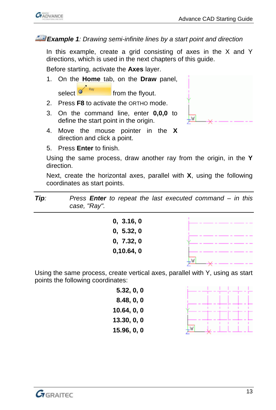

#### *Example 1: Drawing semi-infinite lines by a start point and direction*

In this example, create a grid consisting of axes in the X and Y directions, which is used in the next chapters of this guide.

Before starting, activate the **Axes** layer.

- 1. On the **Home** tab, on the **Draw** panel, select  $\sigma$   $\frac{1}{\sqrt{2}}$  from the flyout.
- 2. Press **F8** to activate the ORTHO mode.
- 3. On the command line, enter **0,0,0** to define the start point in the origin.
- 4. Move the mouse pointer in the **X** direction and click a point.
- 5. Press **Enter** to finish.

Using the same process, draw another ray from the origin, in the **Y** direction.

Next, create the horizontal axes, parallel with **X**, using the following coordinates as start points.

| Tip: | Press <b>Enter</b> to repeat the last executed command $-$ in this |
|------|--------------------------------------------------------------------|
|      | case, "Ray".                                                       |

| 0, 3.16, 0 |  |
|------------|--|
| 0, 5.32, 0 |  |
| 0, 7.32, 0 |  |
| 0,10.64,0  |  |
|            |  |

Using the same process, create vertical axes, parallel with Y, using as start points the following coordinates:

> **5.32, 0, 0 8.48, 0, 0 10.64, 0, 0 13.30, 0, 0 15.96, 0, 0**



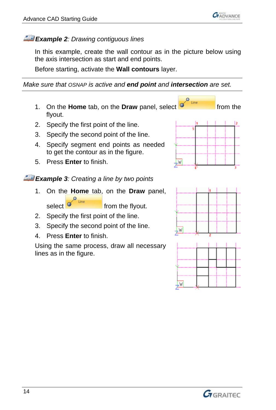

#### *Example 2: Drawing contiguous lines*

In this example, create the wall contour as in the picture below using the axis intersection as start and end points.

Before starting, activate the **Wall contours** layer.

*Make sure that OSNAP is active and end point and intersection are set.*

- 1. On the **Home** tab, on the **Draw** panel, select **or the from the** flyout.
- 2. Specify the first point of the line.
- 3. Specify the second point of the line.
- 4. Specify segment end points as needed to get the contour as in the figure.
- 5. Press **Enter** to finish.

*Example 3: Creating a line by two points*

1. On the **Home** tab, on the **Draw** panel, select  $\delta$ <sup>line</sup> from the flyout.

2. Specify the first point of the line.

- 3. Specify the second point of the line.
- 4. Press **Enter** to finish.

Using the same process, draw all necessary lines as in the figure.



Line





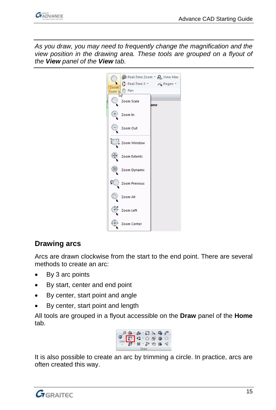

*As you draw, you may need to frequently change the magnification and the view position in the drawing area. These tools are grouped on a flyout of the View panel of the View tab.*



#### <span id="page-14-0"></span>**Drawing arcs**

Arcs are drawn clockwise from the start to the end point. There are several methods to create an arc:

- By 3 arc points
- By start, center and end point
- By center, start point and angle
- By center, start point and length

All tools are grouped in a flyout accessible on the **Draw** panel of the **Home** tab.



It is also possible to create an arc by trimming a circle. In practice, arcs are often created this way.

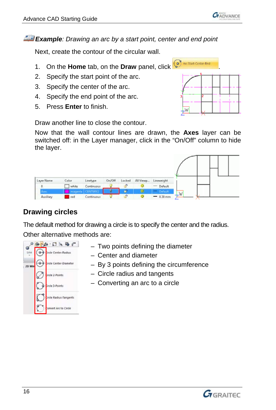*Example: Drawing an arc by a start point, center and end point*

Next, create the contour of the circular wall.

- 1. On the **Home** tab, on the **Draw** panel, click **B** And Mustem of the
- 2. Specify the start point of the arc.
- 3. Specify the center of the arc.
- 4. Specify the end point of the arc.
- 5. Press **Enter** to finish.

Draw another line to close the contour.

Now that the wall contour lines are drawn, the **Axes** layer can be switched off: in the Layer manager, click in the "On/Off" column to hide the layer.

|    | Lineweight | All Viewp | Locked   | On/Off | Linetype   | Color        | Layer Name |
|----|------------|-----------|----------|--------|------------|--------------|------------|
|    | Default    |           |          |        | Continuous | white        |            |
|    |            |           |          | σ      |            | <b>Times</b> | . .        |
| LW | 0.30 mm    |           | $\alpha$ |        | Continuous | red          | Auxiliary  |

## <span id="page-15-0"></span>**Drawing circles**

The default method for drawing a circle is to specify the center and the radius. Other alternative methods are:

|      | <b>ID</b>                     |
|------|-------------------------------|
| Line | Ircle Center-Radius           |
|      | <b>Lircle Center-Diameter</b> |
|      | Ircle 2-Points                |
|      | Ircle 3-Points                |
|      | ircle Radius-Tangents         |
|      | onvert Arc to Circle          |

- Two points defining the diameter
- Center and diameter
- By 3 points defining the circumference
- Circle radius and tangents
- Converting an arc to a circle



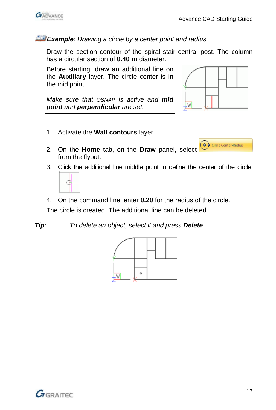

#### *Example: Drawing a circle by a center point and radius*

Draw the section contour of the spiral stair central post. The column has a circular section of **0.40 m** diameter.

Before starting, draw an additional line on the **Auxiliary** layer. The circle center is in the mid point.

*Make sure that OSNAP is active and mid point and perpendicular are set.*

1. Activate the **Wall contours** layer.



O Circle Center-Radius

- 2. On the **Home** tab, on the **Draw** panel, select from the flyout.
- 3. Click the additional line middle point to define the center of the circle.



4. On the command line, enter **0.20** for the radius of the circle.

The circle is created. The additional line can be deleted.

*Tip: To delete an object, select it and press Delete.*



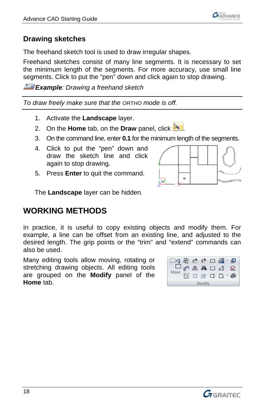

#### <span id="page-17-0"></span>**Drawing sketches**

The freehand sketch tool is used to draw irregular shapes.

Freehand sketches consist of many line segments. It is necessary to set the minimum length of the segments. For more accuracy, use small line segments. Click to put the "pen" down and click again to stop drawing.

*Example: Drawing a freehand sketch*

*To draw freely make sure that the ORTHO mode is off.*

- 1. Activate the **Landscape** layer.
- 2. On the **Home** tab, on the **Draw** panel, click
- 3. On the command line, enter **0.1** for the minimum length of the segments.
- 4. Click to put the "pen" down and draw the sketch line and click again to stop drawing.
- 5. Press **Enter** to quit the command.



The **Landscape** layer can be hidden.

## <span id="page-17-1"></span>**WORKING METHODS**

In practice, it is useful to copy existing objects and modify them. For example, a line can be offset from an existing line, and adjusted to the desired length. The grip points or the "trim" and "extend" commands can also be used.

Many editing tools allow moving, rotating or stretching drawing objects. All editing tools are grouped on the **Modify** panel of the **Home** tab.

| ゆうしゅう ローロ        |  |  |  |  |              |  |  |  |
|------------------|--|--|--|--|--------------|--|--|--|
| 口。《小人》口服<br>Move |  |  |  |  |              |  |  |  |
|                  |  |  |  |  | □ 音楽 中 □ * ● |  |  |  |
| Modify           |  |  |  |  |              |  |  |  |

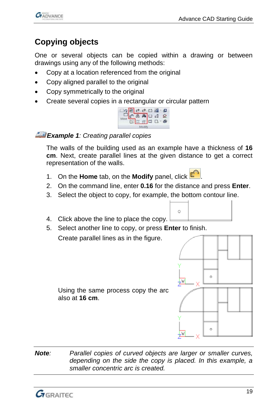

# <span id="page-18-0"></span>**Copying objects**

One or several objects can be copied within a drawing or between drawings using any of the following methods:

- Copy at a location referenced from the original
- Copy aligned parallel to the original
- Copy symmetrically to the original
- Create several copies in a rectangular or circular pattern

| ា <mark>ខេត្ត</mark><br>១៣០ <mark>គេង</mark> ក្នុ<br>១២២២ <mark>គេង</mark> ក |  |  |  |
|------------------------------------------------------------------------------|--|--|--|
|                                                                              |  |  |  |
|                                                                              |  |  |  |
|                                                                              |  |  |  |

#### *Example 1: Creating parallel copies*

The walls of the building used as an example have a thickness of **16 cm**. Next, create parallel lines at the given distance to get a correct representation of the walls.

- 1. On the **Home** tab, on the **Modify** panel, click  $\mathbb{C}^n$
- 2. On the command line, enter **0.16** for the distance and press **Enter**.

 $\circ$ 

- 3. Select the object to copy, for example, the bottom contour line.
- 4. Click above the line to place the copy.
- 5. Select another line to copy, or press **Enter** to finish.

Create parallel lines as in the figure.



Using the same process copy the arc also at **16 cm**.

*Note: Parallel copies of curved objects are larger or smaller curves, depending on the side the copy is placed. In this example, a smaller concentric arc is created.*

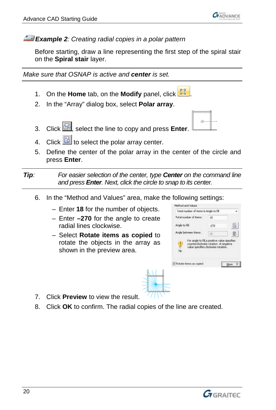

*Example 2: Creating radial copies in a polar pattern*

Before starting, draw a line representing the first step of the spiral stair on the **Spiral stair** layer.

*Make sure that OSNAP is active and center is set.*

- 1. On the **Home** tab, on the **Modify** panel, click  $\frac{1}{\sqrt{2}}$
- 2. In the "Array" dialog box, select **Polar array**.
- 3. Click , select the line to copy and press **Enter**.
- 4. Click  $\frac{N_{\text{L}}}{N_{\text{L}}}$  to select the polar array center.
- 5. Define the center of the polar array in the center of the circle and press **Enter**.

*Tip: For easier selection of the center, type Center on the command line and press Enter. Next, click the circle to snap to its center.*

- 6. In the "Method and Values" area, make the following settings:
	- Enter **18** for the number of objects.
	- Enter **–270** for the angle to create radial lines clockwise.
	- Select **Rotate items as copied** to rotate the objects in the array as shown in the preview area.



 $\alpha$ 

- 7. Click **Preview** to view the result.
- 8. Click **OK** to confirm. The radial copies of the line are created.

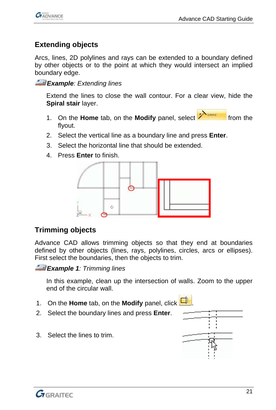

#### <span id="page-20-0"></span>**Extending objects**

Arcs, lines, 2D polylines and rays can be extended to a boundary defined by other objects or to the point at which they would intersect an implied boundary edge.

*Example: Extending lines*

Extend the lines to close the wall contour. For a clear view, hide the **Spiral stair** layer.

- 1. On the **Home** tab, on the **Modify** panel, select **All second** from the flyout.
- 2. Select the vertical line as a boundary line and press **Enter**.
- 3. Select the horizontal line that should be extended.
- 4. Press **Enter** to finish.



#### <span id="page-20-1"></span>**Trimming objects**

Advance CAD allows trimming objects so that they end at boundaries defined by other objects (lines, rays, polylines, circles, arcs or ellipses). First select the boundaries, then the objects to trim.

*Example 1: Trimming lines*

In this example, clean up the intersection of walls. Zoom to the upper end of the circular wall.

- 1. On the **Home** tab, on the **Modify** panel, click
- 2. Select the boundary lines and press **Enter**.
- 3. Select the lines to trim.



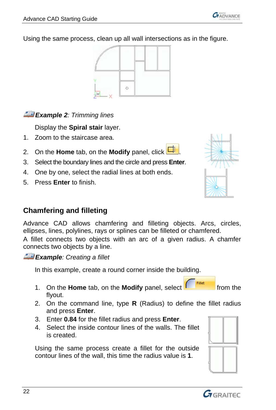Advance CAD Starting Guide

Using the same process, clean up all wall intersections as in the figure.

 $\overline{a}$ 

#### *Example 2: Trimming lines*

Display the **Spiral stair** layer.

- 1. Zoom to the staircase area.
- 2. On the **Home** tab, on the **Modify** panel, click  $\Box$
- 3. Select the boundary lines and the circle and press **Enter**.
- 4. One by one, select the radial lines at both ends.
- 5. Press **Enter** to finish.

#### <span id="page-21-0"></span>**Chamfering and filleting**

Advance CAD allows chamfering and filleting objects. Arcs, circles, ellipses, lines, polylines, rays or splines can be filleted or chamfered.

A fillet connects two objects with an arc of a given radius. A chamfer connects two objects by a line.

*Example: Creating a fillet* 

In this example, create a round corner inside the building.

- Fillet 1. On the **Home** tab, on the **Modify** panel, select **fully the full from** the flyout.
- 2. On the command line, type **R** (Radius) to define the fillet radius and press **Enter**.
- 3. Enter **0.84** for the fillet radius and press **Enter**.
- 4. Select the inside contour lines of the walls. The fillet is created.

Using the same process create a fillet for the outside contour lines of the wall, this time the radius value is **1**.







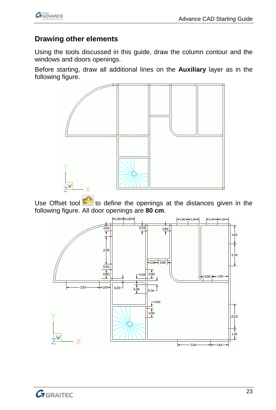

#### <span id="page-22-0"></span>**Drawing other elements**

Using the tools discussed in this guide, draw the column contour and the windows and doors openings.

Before starting, draw all additional lines on the **Auxiliary** layer as in the following figure.



Use Offset tool  $\begin{bmatrix} 1 & 1 \\ 0 & 1 \end{bmatrix}$  to define the openings at the distances given in the following figure. All door openings are **80 cm**.



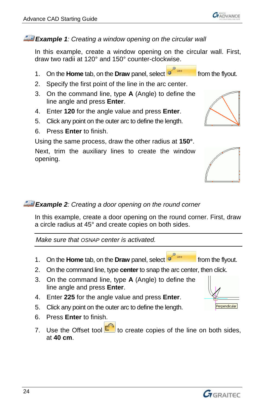#### *Example 1: Creating a window opening on the circular wall*

In this example, create a window opening on the circular wall. First, draw two radii at 120° and 150° counter-clockwise.

- 1. On the **Home** tab, on the **Draw** panel, select **or the flyout.** from the flyout.
- 2. Specify the first point of the line in the arc center.
- 3. On the command line, type **A** (Angle) to define the line angle and press **Enter**.
- 4. Enter **120** for the angle value and press **Enter**.
- 5. Click any point on the outer arc to define the length.
- 6. Press **Enter** to finish.

Using the same process, draw the other radius at **150°**.

Next, trim the auxiliary lines to create the window opening.

#### *Example 2: Creating a door opening on the round corner*

In this example, create a door opening on the round corner. First, draw a circle radius at 45° and create copies on both sides.

*Make sure that OSNAP center is activated.*

- 1. On the **Home** tab, on the **Draw** panel, select **or the flyout.**
- 2. On the command line, type **center** to snap the arc center, then click.
- 3. On the command line, type **A** (Angle) to define the line angle and press **Enter**.
- 4. Enter **225** for the angle value and press **Enter**.
- 5. Click any point on the outer arc to define the length.
- 6. Press **Enter** to finish.
- 7. Use the Offset tool  $\Box$  to create copies of the line on both sides, at **40 cm**.









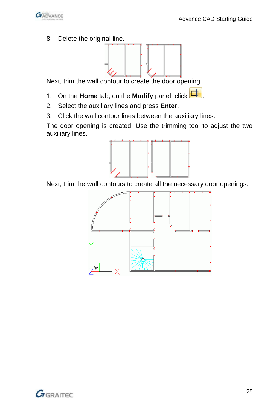

8. Delete the original line.



Next, trim the wall contour to create the door opening.

- 1. On the **Home** tab, on the **Modify** panel, click  $\Box$
- 2. Select the auxiliary lines and press **Enter**.
- 3. Click the wall contour lines between the auxiliary lines.

The door opening is created. Use the trimming tool to adjust the two auxiliary lines.



Next, trim the wall contours to create all the necessary door openings.

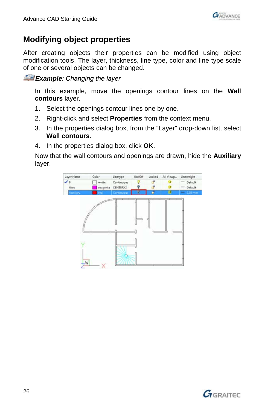

## <span id="page-25-0"></span>**Modifying object properties**

After creating objects their properties can be modified using object modification tools. The layer, thickness, line type, color and line type scale of one or several objects can be changed.

*Example: Changing the layer* 

In this example, move the openings contour lines on the **Wall contours** layer.

- 1. Select the openings contour lines one by one.
- 2. Right-click and select **Properties** from the context menu.
- 3. In the properties dialog box, from the "Layer" drop-down list, select **Wall contours**.
- 4. In the properties dialog box, click **OK**.

Now that the wall contours and openings are drawn, hide the **Auxiliary** layer.



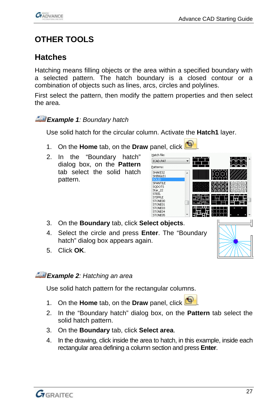

# <span id="page-26-0"></span>**OTHER TOOLS**

## <span id="page-26-1"></span>**Hatches**

Hatching means filling objects or the area within a specified boundary with a selected pattern. The hatch boundary is a closed contour or a combination of objects such as lines, arcs, circles and polylines.

First select the pattern, then modify the pattern properties and then select the area.

*Example 1: Boundary hatch*

Use solid hatch for the circular column. Activate the **Hatch1** layer.

- 1. On the **Home** tab, on the **Draw** panel, click **8**
- 2. In the "Boundary hatch" dialog box, on the **Pattern** tab select the solid hatch pattern.

| пасси гле:                                    |   |              |   |
|-----------------------------------------------|---|--------------|---|
| ICAD.PAT                                      |   |              |   |
| Patterns:                                     |   |              |   |
| SHAKES2<br>SHINGLE1<br>SOLID                  | ▴ |              |   |
| SPANTILE<br>SODOTS<br>Star_22                 |   |              |   |
| <b>STEEL</b><br>STIPPLE<br>STONE00<br>STONE01 |   |              |   |
| STONE03<br>STONE04<br>STONE05                 |   |              |   |
|                                               |   | $\mathbf{1}$ | п |

- 3. On the **Boundary** tab, click **Select objects**.
- 4. Select the circle and press **Enter**. The "Boundary hatch" dialog box appears again.
- 5. Click **OK**.

*Example 2: Hatching an area*

Use solid hatch pattern for the rectangular columns.

- 1. On the **Home** tab, on the **Draw** panel, click **1**
- 2. In the "Boundary hatch" dialog box, on the **Pattern** tab select the solid hatch pattern.
- 3. On the **Boundary** tab, click **Select area**.
- 4. In the drawing, click inside the area to hatch, in this example, inside each rectangular area defining a column section and press **Enter**.

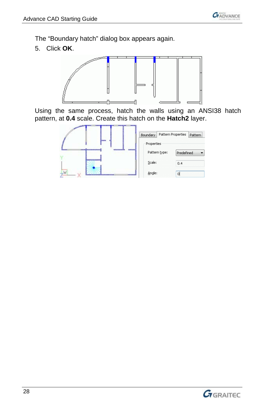

The "Boundary hatch" dialog box appears again.

5. Click **OK**.



Using the same process, hatch the walls using an ANSI38 hatch pattern, at **0.4** scale. Create this hatch on the **Hatch2** layer.



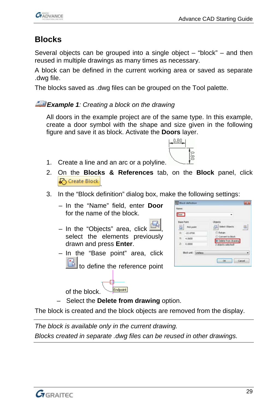## <span id="page-28-0"></span>**Blocks**

Several objects can be grouped into a single object – "block" – and then reused in multiple drawings as many times as necessary.

A block can be defined in the current working area or saved as separate .dwg file.

The blocks saved as .dwg files can be grouped on the Tool palette.

#### *Example 1: Creating a block on the drawing*

All doors in the example project are of the same type. In this example, create a door symbol with the shape and size given in the following figure and save it as block. Activate the **Doors** layer.

 $0.80.$ 

es<br>I

1. Create a line and an arc or a polyline.



- 3. In the "Block definition" dialog box, make the following settings:
	- In the "Name" field, enter **Door** for the name of the block.
	- In the "Objects" area, click  $\Box$ select the elements previously drawn and press **Enter**.
	- In the "Base point" area, click

to define the reference point

Endpoint of the block.

| Door              |                |                                          |
|-------------------|----------------|------------------------------------------|
| <b>Base Point</b> |                | <b>Objects</b>                           |
| ß                 | Pick point     | Select Objects<br>赿                      |
|                   | X: -22,0700    | Retain                                   |
|                   | $V_1 = 4.0650$ | Convert to block.<br>Delete from drawing |
|                   | $Z = 0.0000$   | 2 objects selected!                      |

– Select the **Delete from drawing** option.

The block is created and the block objects are removed from the display.

*The block is available only in the current drawing. Blocks created in separate .dwg files can be reused in other drawings.*

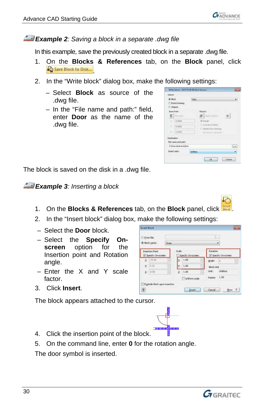

#### *Example 2: Saving a block in a separate .dwg file*

In this example, save the previously created block in a separate .dwg file.

- 1. On the **Blocks & References** tab, on the **Block** panel, click Save Block to Disk...
- 2. In the "Write block" dialog box, make the following settings:
	- Select **Block** as source of the .dwg file.
	- In the "File name and path:" field, enter **Door** as the name of the .dwg file.

| SOUTO                                          |          |                                            |             |
|------------------------------------------------|----------|--------------------------------------------|-------------|
| <b>&amp; Block</b><br>Entre Drawing<br>Chiects | Sofia    |                                            |             |
| <b>Dave Point</b>                              |          | Objects                                    |             |
| <b>B</b> Pitkaport                             |          | Select Objects                             | 部           |
| i a bose                                       |          | (ii) Retain                                |             |
| w<br>0.0000                                    |          | Convert to block<br>C. Dobbe from disiving |             |
| $21 -$<br>0.0000                               |          | Matulianita hermited                       |             |
| Destination                                    |          |                                            |             |
| File name and path:                            |          |                                            |             |
| C Usersitana sideor                            |          |                                            | <b>Cold</b> |
| Insert units:                                  | Unitless |                                            |             |

The block is saved on the disk in a .dwg file.

*Example 3: Inserting a block*

1. On the **Blocks & References** tab, on the **Block** panel, click .

**Intert Block** O From file: a Block name

V Specify On

¥: 424

 $2: 0.00$ 

Egylode block upon inse  $\overline{P}$ 

 $\mathbf{x}$ 188

- 2. In the "Insert block" dialog box, make the following settings:
- Select the **Door** block.
- Select the **Specify Onscreen** option for the Insertion point and Rotation angle.
- Enter the X and Y scale factor.
- 3. Click **Insert**.

The block appears attached to the cursor.



Dog

Specify  $x: 1.00$ 

 $Y: 1.00$ 

 $2:1.00$ 

**Flunform** scale

- 4. Click the insertion point of the block.
- 5. On the command line, enter **0** for the rotation angle.

The door symbol is inserted.



۷

**Visedvo** 

Ande 丙

case. **Election** Factor: 1.00

[ [nsert ] Cancel ] More 3

Block Link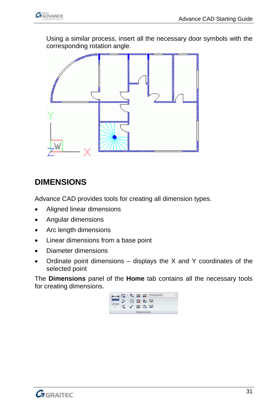

Using a similar process, insert all the necessary door symbols with the corresponding rotation angle.



# <span id="page-30-0"></span>**DIMENSIONS**

Advance CAD provides tools for creating all dimension types.

- Aligned linear dimensions
- Angular dimensions
- Arc length dimensions
- Linear dimensions from a base point
- Diameter dimensions
- Ordinate point dimensions  $-$  displays the X and Y coordinates of the selected point

The **Dimensions** panel of the **Home** tab contains all the necessary tools for creating dimensions.



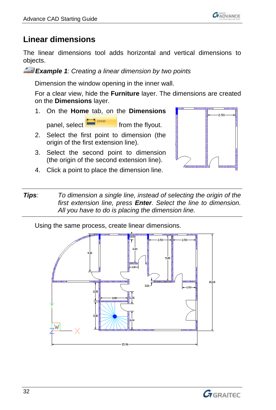

## <span id="page-31-0"></span>**Linear dimensions**

The linear dimensions tool adds horizontal and vertical dimensions to objects.

*Example 1: Creating a linear dimension by two points*

Dimension the window opening in the inner wall.

For a clear view, hide the **Furniture** layer. The dimensions are created on the **Dimensions** layer.

- 1. On the **Home** tab, on the **Dimensions**  $p$  panel, select  $\begin{array}{ccc} \hline \end{array}$  from the flyout.
- 2. Select the first point to dimension (the origin of the first extension line).
- 3. Select the second point to dimension (the origin of the second extension line).
- 4. Click a point to place the dimension line.



*Tips: To dimension a single line, instead of selecting the origin of the first extension line, press Enter. Select the line to dimension. All you have to do is placing the dimension line.*

Using the same process, create linear dimensions.



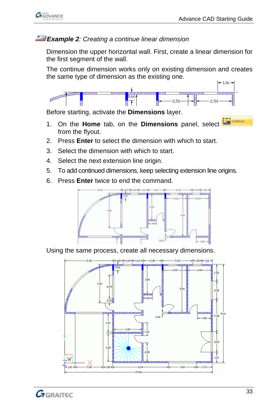

#### *Example 2: Creating a continue linear dimension*

Dimension the upper horizontal wall. First, create a linear dimension for the first segment of the wall.

The continue dimension works only on existing dimension and creates the same type of dimension as the existing one.



Before starting, activate the **Dimensions** layer.

- 1. On the **Home** tab, on the **Dimensions** panel, select from the flyout.
- 2. Press **Enter** to select the dimension with which to start.
- 3. Select the dimension with which to start.
- 4. Select the next extension line origin.
- 5. To add continued dimensions, keep selecting extension line origins.
- 6. Press **Enter** twice to end the command.



Using the same process, create all necessary dimensions.



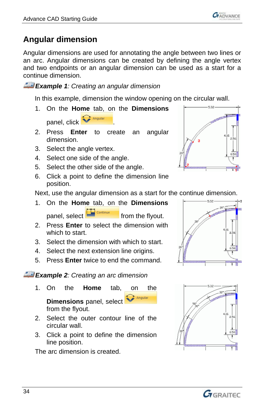

# <span id="page-33-0"></span>**Angular dimension**

Angular dimensions are used for annotating the angle between two lines or an arc. Angular dimensions can be created by defining the angle vertex and two endpoints or an angular dimension can be used as a start for a continue dimension.

*Example 1: Creating an angular dimension*

In this example, dimension the window opening on the circular wall.

- 1. On the **Home** tab, on the **Dimensions** panel, click **W** Angular
- 2. Press **Enter** to create an angular dimension.
- 3. Select the angle vertex.
- 4. Select one side of the angle.
- 5. Select the other side of the angle.
- 6. Click a point to define the dimension line position.

Next, use the angular dimension as a start for the continue dimension.

- 1. On the **Home** tab, on the **Dimensions** panel, select **Fig.** Continue from the flyout.
- 2. Press **Enter** to select the dimension with which to start.
- 3. Select the dimension with which to start.
- 4. Select the next extension line origins.
- 5. Press **Enter** twice to end the command.

*Example 2: Creating an arc dimension*

- 1. On the **Home** tab, on the .<br>Angular **Dimensions** panel, select from the flyout.
- 2. Select the outer contour line of the circular wall.
- 3. Click a point to define the dimension line position.

The arc dimension is created.







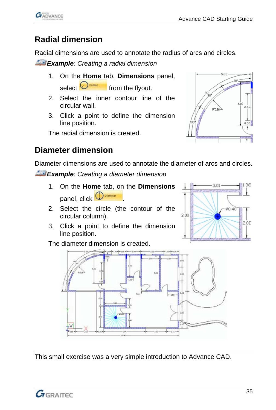

# <span id="page-34-0"></span>**Radial dimension**

Radial dimensions are used to annotate the radius of arcs and circles.

*Example: Creating a radial dimension*

- 1. On the **Home** tab, **Dimensions** panel, select  $\bigcirc$  **Fadius** from the flyout.
- 2. Select the inner contour line of the circular wall.
- 3. Click a point to define the dimension line position.

The radial dimension is created.



## <span id="page-34-1"></span>**Diameter dimension**

Diameter dimensions are used to annotate the diameter of arcs and circles.

*Example: Creating a diameter dimension*

- 1. On the **Home** tab, on the **Dimensions** panel, click **D**
- 2. Select the circle (the contour of the circular column).
- 3. Click a point to define the dimension line position.

The diameter dimension is created.





This small exercise was a very simple introduction to Advance CAD.